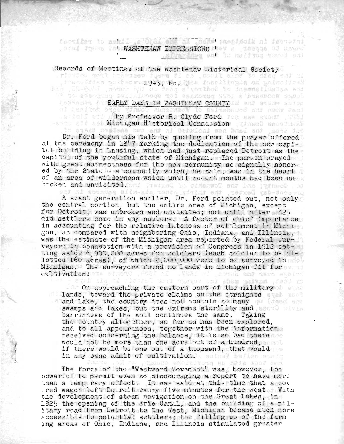nenw tasalsoim ni jeers e ofar ent ut Macrillet To ash . Admit found the WASHTENAW IMPRESSIONS they are incorpored at these i .siyanana ant to natives yound sud

Records of Meetings of the Washtenaw Historical Society

inse Ittes an Aeberlagiyano ilise theofilmaia as animofficial<br>1.05-0001 ,norum que se segue voribot is themmelidatas ent

## LEARLY DAYS IN WASHTENAW COUNTY IN STREET STAR STAR

To associate sylenisses tol eastotus 3531 s'ousebook east

al benitet by a since wassident to acitaboucd str nedw Japi sam and as Michigan Historical Commission (these wenefinal

Dr. Ford began his talk by quoting from the prayer offered at the ceremony in 1847 marking the dedication of the new capitol building in Lansing, which had just replaced Detroit as the capitol of the youthful state of Michigan. The parson prayed with great earnestness for the new community so signally honored by the State - a community which, he said, was in the heart of an area of wilderness which until recent months had been unbroken and unvisited. on! Thered is gidenwol end ins germed

A scant generation earlier, Dr. Ford pointed out, not only the central portion, but the entire area of Michigan, except for Detroit, was unbroken and unvisited; not until after 1825 did settlers come in any numbers. A factor of chief importance in accounting for the relative lateness of settlement in Michigan, as compared with neighboring Ohio, Indiana, and Illinois, was the estimate of the Michigan area reported by Federal surveyors in connection with a provision of Congress in 1912 setting aside 6,000,000 acres for soldiers (each soldier to be allotted  $160$  acres), of which  $2,000,000$  were to be surveyed in the Michigan. The surveyors found no lands in Michigan fit for cultivation:

...<br>On approaching the eastern part of the military lands, toward the private claims on the straights and lake, the country does not contain so many swamps and lakes, but the extreme sterility and section and barrenness of the soil continues the same. Taking the country altogether, so far as has been explored, and to all appearances, together with the information received concerning the balance, it is so bad there would not be more than one acre out of a hundred, if there would be one out of a thousand, that would in any case admit of cultivation. Believ believe scale

The force of the "Westward Movement" was, however, too powerful to permit even so discouraging a report to have more than a temporary effect. It was said at this time that a covered wagon left Detroit every five minutos for the west. With the development of steam navigation on the Great Lakes, in 1825 the opening of the Erie Canal, and the building of a military road from Detroit to the West, Michigan became much more accessible to potential settlers; the filling up of the farming areas of OhiO, Indiana, and Illinois stimulated greater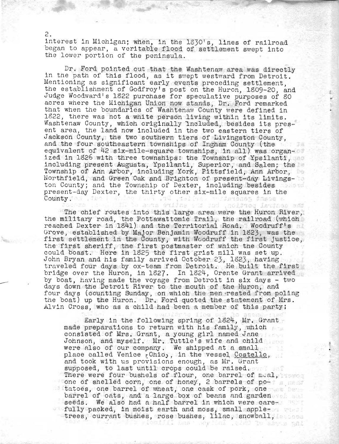interest 1n Michigan; when, in the 1830's, 11nes of railroad began to appear, a veritable flood of settlement swept into the lower portion of the peninsula.

Dr. Ford pointed out that the Washtenaw area was directly in the path of this flood, as it swept westward from Detroit. Mentioning as significant early events preceding settlement, the establishment of Godfroy's post on the Huron, 1809-20, and Judge Woodward's 1822 purchase for speculative purposes of 80 acres where the Michigan Union now stands, Dr. Ford remarked that when the boundaries of Washtenaw County were defined in 1822, there was not a white person living within its limits. Washtenaw County, which originally included, besides its present area, the land now included in the two eastern tiers of Jackson County, the two southern tiers of Livingston County, and the four southeastern townships of Ingham County (the equivalent of 42 six-mile-square townships, in all) was organized in 1826 with three townships: the Township of Ypsilanti, including present Augusta; Ypsilanti, Superior, and Salem; the Township of Ann Arbor, inoluding York, Pittsfield, Ann Arbor, Northfield, and Green Oak and Brighton of present-day Livingston County; and the Township of Dexter, including besides and the present-day Dexter, the thirty other six-mile squares in the ton County; and the Township of Dexter, including besides County. *ijanggan ja*gog a

The chief routes into this large area were the Huron River, the military road, the Pottawattom1e Trail, the railroad (which reached Dexter in 1841) and the Territorial Road. Woodruff's Grove, established by Major Benjamin Woodruff in 1823, was the first settlement in the County, with Woodruff the first justice, the first sheriff, the first postmaster of which the County could boast. Here in 1825 the first grist mill was set up. John Bryan and his family arrived October 23, 1523, having traveled four days by ox-team from Detroit. He built the first bridge over the Huron, in 1827. In 1824, Orente Grant arrived by boat, having made the voyage from Detroit in six days - two days down the Detroit River to the mouth of the Huron, and four days (counting Sunday, on which the men rested from poling the boat) up the Huron. Dr. Ford quoted the statement of Mrs. Alvin Cross, who as a child had been a member of this party;

Early in the following spring of 1824, Mr. Grant made preparations to return with his family, which consisted of Mrs. Grant, a young girl named Jane Johnson, and myself. Mr. Tuttle's wife and child were also of our company, We shipped at a small place called Venice rOhio,, in the vessel Costello, and took with us provisions enough, as Mr. Grant supposed, to last until crops could be raised. There were four bushels of flour, one barrel of mual, in the one of shelled corn, one of honey, 2 barrels of po- $\blacksquare$  tatoes, one barrel of wheat, one cask of pork, one  $\blacksquare$ barrel of oats, and a large box of beans and garden seeds. We also had a half barrel in which were carefully packed, in moist earth and moss, small appletrees, currant bushes, rose bushes, lilac, snowball,  $\sim$ 

2.

--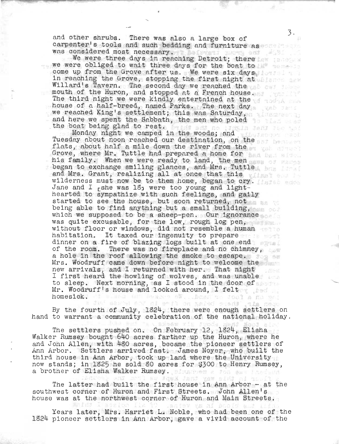and other shrubs. There was also a large box of carpenter's tools and such bedding. and furniture as was considered most necessary. The service and the service of the service of the service of the service of the service of the service of the service of the service of the service of the service of the service of the servic

We were three days in reaching Detroit; there we have we were obliged to wait three days for the boat to come up from the Grove after us. We were six days in reaching the Grove, stopping the first night at signed see Willard's Tavern. The second day we reached the second will be a second with the second statement. mouth of the Huron, and stopped at a French house. The third night we were kindly entertained at the strade and house of a half-breed, named Parks. The next day we reached King's settlement; this was Saturday, whis master and here we spent the Sabbath, the men who poled the state of the boat being glad to rest.

Monday night we camped in the woods; and Tuesday about noon reached our destination, on the part here we flats, about half a mile down the river from the Grove, where Mr. Tuttle had prepared a home for his family. When we were ready to land, the men began to exchange smiling glances, and Mrs. Tuttle and Mrs. Grant, realizing all at once that this will all at wilderness must now be to them home, began to cry. Jane and I <sub>r</sub>she was 18<sub>j</sub> were too young and lighthearted to sympathize with such feelings, and gaily started to see the house, but soon returned, not being able to find anything but a small building, which we supposed to be a sheep-pen. Our ignorance was quite excusable, for the low, rough log pen, without floor or windows, did not resemble a human habitation. It taxed our ingenuity to prepare dinner on a fire of blazing logs built at one end of the room. There was no fireplace and no chimney, a hole in the roof allowing the smoke to escape. Mrs. Woodruff came down before night to welcome the new arrivals, and I returned with her. That night I first heard the howling of wolves, and was unable the interest of the non-ling of worves, and was diable Mr. Woodruff's house and looked around, I felt homesick. I was an essen at ... basi to Joel a no on!

By the fourth of July, 1924, there were enough settlers on hand to warrant a community celebration of the national holiday.

The settlers pushed on. On February 12, 1924, Elisha Walker Rumsey bought 640 acres farther up the Huron, where he and John Allen, with 4g0 acres, became the pioneer settlers of Ann Arbor. Settlers arrived fast. James Noyer, who built the third house in Ann Arbor, took up land where the University now stands; in 1825 he sold 80 acres for \$300 to Henry Rumsey, a brother of Elisha Walker Rumsey. Sing the a fon ess last and

The latter had built the first house in Ann Arbor - at the southwest corner of Huron and First' Streets. John Allen's house was at the northwest corner of Huron and Main Streets.

Years later, Mrs. Harriet L. Noble, who had been one of the 1824 pioneer settlers in Ann Arbor, gave a vivid account of the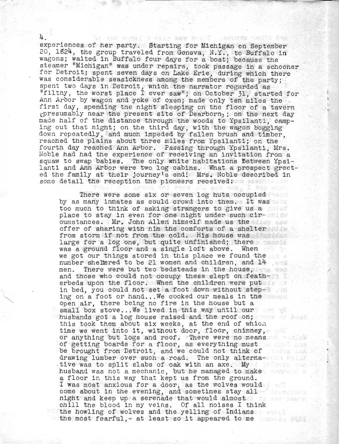experiences of her party. Starting for Michigan on September 20, 1824, the group traveled from Geneva, N.Y., to Buffalo in wagons; waited in Buffalo four days for a boat; because the steamer "Michigan" was under repairs, took passage in a schooner for Detroit; spent seven days on Lake Erie, during which there was considerable seasickness among the members of the party; spent two days in Detroit, which the narrator regarded as "filthy, the worst place I ever saw"; on October 31, started for Ann Arbor by wagon and yoke of oxen; made only ten miles the -<br>first day, spending the night sleeping on the floor of a tavern tpresumably near the present site of Dearborn); on the next day made half of the distance through the woods to Ypsilanti, camping out that night; on the third day, with the wagon bogging down repeatedly, and much impeded by fallen brush and timber, reached the plains about three miles from Ypsilanti; on the fourth day reached Ann Arbor. Passing through Ypsilanti, Mrs, Noble had had the experience of receiving an invitation from a squaw to swap babies. The only white habitations Between Ypsilanti and Ann Arbor were two log cabins. What a prospect greeted the family at their journey's end! Mrs. Noble described in some detail the reception the pioneers received: we have a set on the pioneers received:

There were some six or seven log huts occupied by as many inmates as could crowd into them. It was too much to think of asking strangers to give us a place to stay in even for one night under such circumstances. Mr. John Allen himself made us the offer of sharing with him the comforts of a shelter from storm if not from the cold. His house was large for a log one, but quite unfinished; there was a ground floor and a single loft above. When we got our things stored in this place we found the number sheltered to be 21 women and children, and 14 men. There were but two bedsteads in the house, and those who could not occupy these slept on featherbeds upon the floor. When the children were put in bed, you could not set a foot down without steping on a foot or hand... We cooked our meals in the state  $\mathbb{R}$ open air, there being no fire in the house but a small box stove...We lived in this way until our husbands got a log house raised and the roof on; this took them about six weeks, at the end of which time we went into it, without door, floor, chimney, or anything but logs and roof. There were no means of getting boards for a floor, as everything must be brought from Detroit, and we could not think of drawing lumber over such a road. The only alternative was to split slabs of oak with an axe. My interest when husband was not a mechanic, but he managed to make a floor in this way that kept us from the ground. I was most anxious for a door, as the wolves would come about in the evening, and sometimes stay allow night and keep up a serenade that would almost the server was a chill the blood in my veins. Of all noises I think the howling of wolves and the yelling of Indians the most fearful, - at least so it appeared to me

/

4.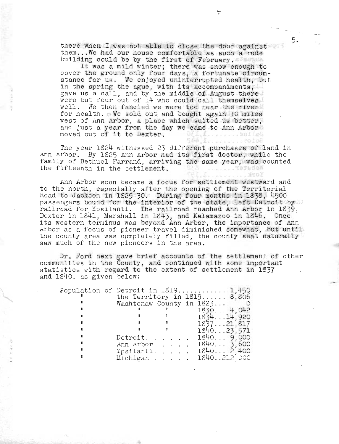there when I was not able to close the door against them...We had our house comfortable as such a rude building could be by the first of February.

5.

It was a mild winter; there was snow enough to cover the ground only four days, a fortunate circumstance for us. We enjoyed uninterrupted health, but in the spring the ague, with its accompaniments,<br>gave us a call, and by the middle of August there were but four out of 14 who could call themselves well. We then fancied we were too near the river for health. We sold out and bought again 10 miles west of Ann Arbor, a place which suited us better, and just a year from the day we came to Ann Arbor moved out of it to Dexter. . L. . . . . . . . 501 Let

The year 1824 witnessed 23 different purchases of land in Ann Arbor. By 1825 Ann Arbor had its first doctor, while the family of Bethuel Farrand, arriving the same year, was counted the fifteenth in the settlement. Webster. . . . . . . . . . . . . 370 X

Laternal CO108

Ann Arbor soon became a focus for settlement westward and to the north, especially after the opening of the Territorial Road to Jackson in 1829-30. During four months in 1838, 4500 passengers bound for the interior of the state, left Detroit by railroad for Ypsilanti. The railroad reached Ann Arbor in 1839, Dexter in 1841, Marshall in 1843, and Kalamazoo in 1846. Once its western terminus was beyond Ann Arbor, the importance of Ann Arbor as a focus of pioneer travel diminished somewhat, but until the county area was completely filled, the county seat naturally saw much of the new pioneers in the area.

Dr. Ford next gave brief accounts of the settlement of other communities in the County, and continued with some important<br>statistics with regard to the extent of settlement in 1837 and 1840, as given below:

|    |                          |   | Population of Detroit in $1819$ 1,450 |
|----|--------------------------|---|---------------------------------------|
|    |                          |   | the Territory in $1819$ $8,806$       |
|    | Washtenaw County in 1823 |   |                                       |
|    |                          |   | 1830 4.042                            |
| и  |                          |   | 183414,920                            |
| 11 | n                        | Ħ | 183721,817                            |
| u  |                          |   | 184023,571                            |
| Ħ  | Detroit. .               |   | 18409.000                             |
| Ħ  | Ann Arbor.               |   | 18403,600                             |
| п  | Ypsilanti.               |   | 18402,400                             |
| и  | Michigan.                |   | 1840212,000                           |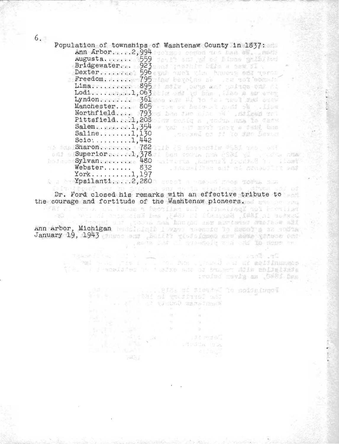$6.7<sub>26</sub>$ 

|                                           | Population of townships of Washtenaw County in 1837:<br>Ann Arbor2,994 records common the band of the state |
|-------------------------------------------|-------------------------------------------------------------------------------------------------------------|
|                                           | Augusta.  559 ferit auf all blump galliled                                                                  |
|                                           | Bridgewater 923 and product bill a set of                                                                   |
|                                           | Dexter  596 evan anch wim haven sti quest                                                                   |
|                                           | Freedom.  795 fau bevolge si at the best best                                                               |
|                                           | Lima.   895 : sete jours and yalage one at                                                                  |
|                                           |                                                                                                             |
|                                           | Lodi1,063 are only of the . The a arrent<br>Lyndonerad: Mas361 was same #1 to tell well see state           |
|                                           |                                                                                                             |
|                                           | Manchester 805 From or beloved mult the signal                                                              |
|                                           | Northfield 793 ad has two close of stiles and                                                               |
|                                           | Pittsfield. 1,208 of as the state and the Teste                                                             |
|                                           | Salem. $p_{11}, p_{22}, p_{31}, 1, 354$ of value of moving a dend that $p_{12}$<br>where or of to gen Deven |
| $Saline$ $1,130$                          |                                                                                                             |
| $Scio: \ldots \ldots \ldots \ldots 1,442$ |                                                                                                             |
|                                           | hi bha Sharone. Irrin, 1782 i 15 (S bossantis 2551 1891, 641                                                |
| $\text{Superior1,}378$                    | i ben zodus nus 1981 yil , vodus nus                                                                        |
| $\log$ sylvan 480<br>Webster $832$        | Waivirus , Assengă Joustad 1: (Last                                                                         |
|                                           | . has not have and the month and                                                                            |
| $Y$ ork1, 197                             |                                                                                                             |
|                                           | A a Sem <b>Ypsilanti2,280</b> 3 antoi a massad moon 500% mass                                               |
|                                           | Dr. Ford closed his remarks with an effective tribute to                                                    |
|                                           | the courage and fortitude of the Washtenaw pioneers.                                                        |
|                                           |                                                                                                             |
|                                           | WEST AL TESTA IN POLOR TO MOSILET STRE . MARIAGE TO I TEST                                                  |
|                                           | Bowter in 1842, Benedict in 1845, and Keismains in 1848, 1989                                               |
|                                           | s - eitegai on , tour ann bhosad me aunistis stofeow all                                                    |
|                                           | Ann Arbor, Michigan Redsinicit I way deeneig to depot a st resta                                            |

January 19, 1943 these end position visitofemed are some vinese end

filtere Elfreq **DE ARCHITECTS** and who the first the first present at the earthmanner and taking as twent the

| E9<br>× | VS.  |              | the Territory in 167 miles<br>al tranc warefilms | aguighan of tions in 10.1915. Ing |
|---------|------|--------------|--------------------------------------------------|-----------------------------------|
|         |      | 36<br>$\sim$ |                                                  |                                   |
|         |      |              |                                                  |                                   |
|         | 7835 |              | .J.L. Pidels<br>Modia Wa<br>al Jaqil             |                                   |